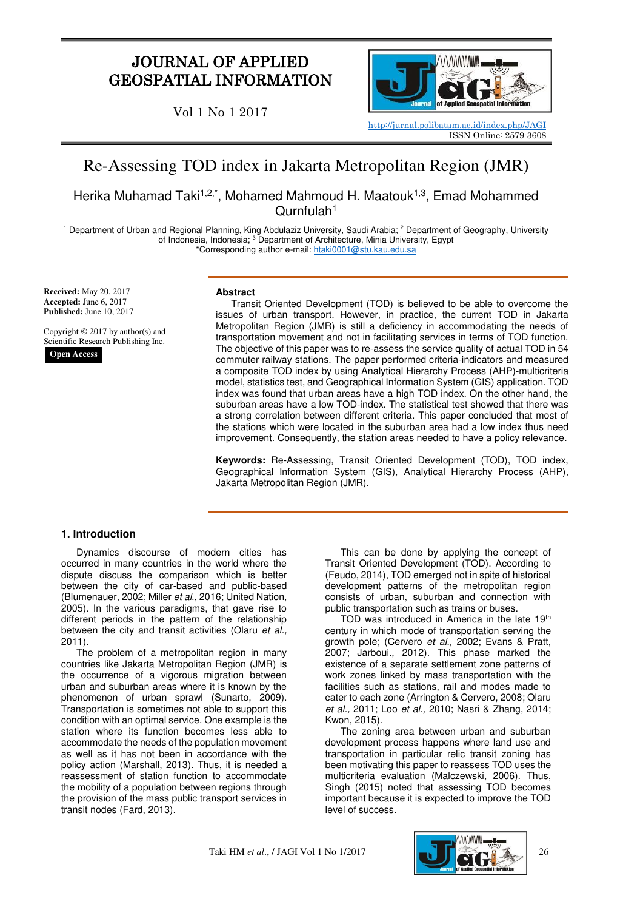# JOURNAL OF APPLIED GEOSPATIAL INFORMATION

Vol 1 No 1 2017



<http://jurnal.polibatam.ac.id/index.php/JAGI> ISSN Online: 2579-3608

# Re-Assessing TOD index in Jakarta Metropolitan Region (JMR)

Herika Muhamad Taki<sup>1,2,\*</sup>, Mohamed Mahmoud H. Maatouk<sup>1,3</sup>, Emad Mohammed Qurnfulah<sup>1</sup>

<sup>1</sup> Department of Urban and Regional Planning, King Abdulaziz University, Saudi Arabia; <sup>2</sup> Department of Geography, University of Indonesia, Indonesia; <sup>3</sup> Department of Architecture, Minia University, Egypt \*Corresponding author e-mail[: htaki0001@stu.kau.edu.sa](mailto:htaki0001@stu.kau.edu.sa)

**Received:** May 20, 2017 **Accepted:** June 6, 2017 **Published:** June 10, 2017

Copyright © 2017 by author(s) and Scientific Research Publishing Inc. **Open Access**

#### **Abstract**

Transit Oriented Development (TOD) is believed to be able to overcome the issues of urban transport. However, in practice, the current TOD in Jakarta Metropolitan Region (JMR) is still a deficiency in accommodating the needs of transportation movement and not in facilitating services in terms of TOD function. The objective of this paper was to re-assess the service quality of actual TOD in 54 commuter railway stations. The paper performed criteria-indicators and measured a composite TOD index by using Analytical Hierarchy Process (AHP)-multicriteria model, statistics test, and Geographical Information System (GIS) application. TOD index was found that urban areas have a high TOD index. On the other hand, the suburban areas have a low TOD-index. The statistical test showed that there was a strong correlation between different criteria. This paper concluded that most of the stations which were located in the suburban area had a low index thus need improvement. Consequently, the station areas needed to have a policy relevance.

**Keywords:** Re-Assessing, Transit Oriented Development (TOD), TOD index, Geographical Information System (GIS), Analytical Hierarchy Process (AHP), Jakarta Metropolitan Region (JMR).

# **1. Introduction**

Dynamics discourse of modern cities has occurred in many countries in the world where the dispute discuss the comparison which is better between the city of car-based and public-based (Blumenauer, 2002; Miller *et al.,* 2016; United Nation, 2005). In the various paradigms, that gave rise to different periods in the pattern of the relationship between the city and transit activities (Olaru *et al.,*  2011).

The problem of a metropolitan region in many countries like Jakarta Metropolitan Region (JMR) is the occurrence of a vigorous migration between urban and suburban areas where it is known by the phenomenon of urban sprawl (Sunarto, 2009). Transportation is sometimes not able to support this condition with an optimal service. One example is the station where its function becomes less able to accommodate the needs of the population movement as well as it has not been in accordance with the policy action (Marshall, 2013). Thus, it is needed a reassessment of station function to accommodate the mobility of a population between regions through the provision of the mass public transport services in transit nodes (Fard, 2013).

This can be done by applying the concept of Transit Oriented Development (TOD). According to (Feudo, 2014), TOD emerged not in spite of historical development patterns of the metropolitan region consists of urban, suburban and connection with public transportation such as trains or buses.

TOD was introduced in America in the late 19th century in which mode of transportation serving the growth pole; (Cervero *et al.,* 2002; Evans & Pratt, 2007; Jarboui., 2012). This phase marked the existence of a separate settlement zone patterns of work zones linked by mass transportation with the facilities such as stations, rail and modes made to cater to each zone (Arrington & Cervero, 2008; Olaru *et al.,* 2011; Loo *et al.,* 2010; Nasri & Zhang, 2014; Kwon, 2015).

The zoning area between urban and suburban development process happens where land use and transportation in particular relic transit zoning has been motivating this paper to reassess TOD uses the multicriteria evaluation (Malczewski, 2006). Thus, Singh (2015) noted that assessing TOD becomes important because it is expected to improve the TOD level of success.

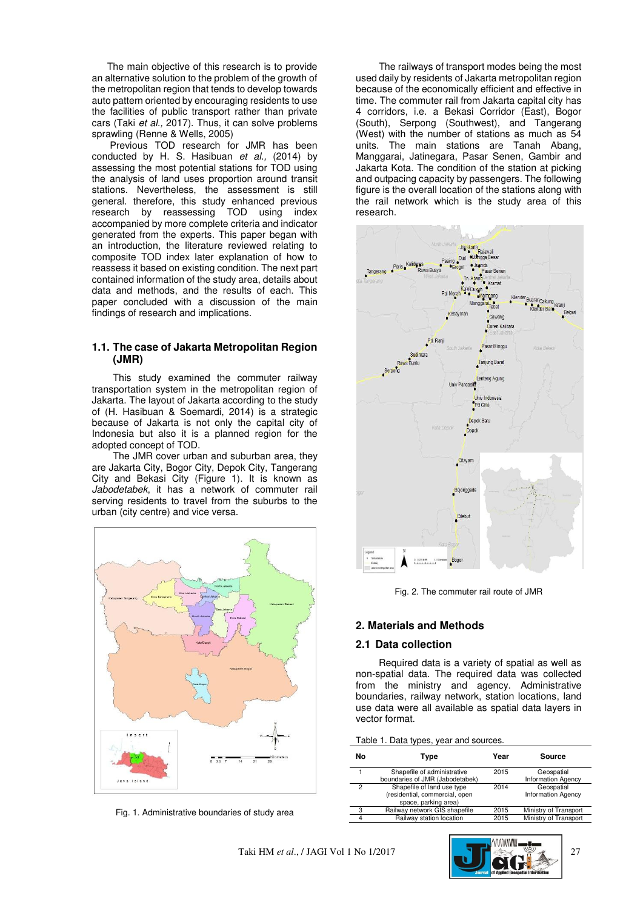The main objective of this research is to provide an alternative solution to the problem of the growth of the metropolitan region that tends to develop towards auto pattern oriented by encouraging residents to use the facilities of public transport rather than private cars (Taki *et al.,* 2017). Thus, it can solve problems sprawling (Renne & Wells, 2005)

Previous TOD research for JMR has been conducted by H. S. Hasibuan *et al.,* (2014) by assessing the most potential stations for TOD using the analysis of land uses proportion around transit stations. Nevertheless, the assessment is still general. therefore, this study enhanced previous research by reassessing TOD using index accompanied by more complete criteria and indicator generated from the experts. This paper began with an introduction, the literature reviewed relating to composite TOD index later explanation of how to reassess it based on existing condition. The next part contained information of the study area, details about data and methods, and the results of each. This paper concluded with a discussion of the main findings of research and implications.

# **1.1. The case of Jakarta Metropolitan Region (JMR)**

This study examined the commuter railway transportation system in the metropolitan region of Jakarta. The layout of Jakarta according to the study of (H. Hasibuan & Soemardi, 2014) is a strategic because of Jakarta is not only the capital city of Indonesia but also it is a planned region for the adopted concept of TOD.

The JMR cover urban and suburban area, they are Jakarta City, Bogor City, Depok City, Tangerang City and Bekasi City (Figure 1). It is known as *Jabodetabek*, it has a network of commuter rail serving residents to travel from the suburbs to the urban (city centre) and vice versa.



Fig. 1. Administrative boundaries of study area

The railways of transport modes being the most used daily by residents of Jakarta metropolitan region because of the economically efficient and effective in time. The commuter rail from Jakarta capital city has 4 corridors, i.e. a Bekasi Corridor (East), Bogor (South), Serpong (Southwest), and Tangerang (West) with the number of stations as much as 54 units. The main stations are Tanah Abang, Manggarai, Jatinegara, Pasar Senen, Gambir and Jakarta Kota. The condition of the station at picking and outpacing capacity by passengers. The following figure is the overall location of the stations along with the rail network which is the study area of this research.



Fig. 2. The commuter rail route of JMR

# **2. Materials and Methods**

#### **2.1 Data collection**

 Required data is a variety of spatial as well as non-spatial data. The required data was collected from the ministry and agency. Administrative boundaries, railway network, station locations, land use data were all available as spatial data layers in vector format.

| Νo | Type                                                                                 | Year | Source                                  |
|----|--------------------------------------------------------------------------------------|------|-----------------------------------------|
|    | Shapefile of administrative<br>boundaries of JMR (Jabodetabek)                       | 2015 | Geospatial<br><b>Information Agency</b> |
| 2  | Shapefile of land use type<br>(residential, commercial, open<br>space, parking area) | 2014 | Geospatial<br><b>Information Agency</b> |
| 3  | Railway network GIS shapefile                                                        | 2015 | Ministry of Transport                   |
| 4  | Railway station location                                                             | 2015 | Ministry of Transport                   |

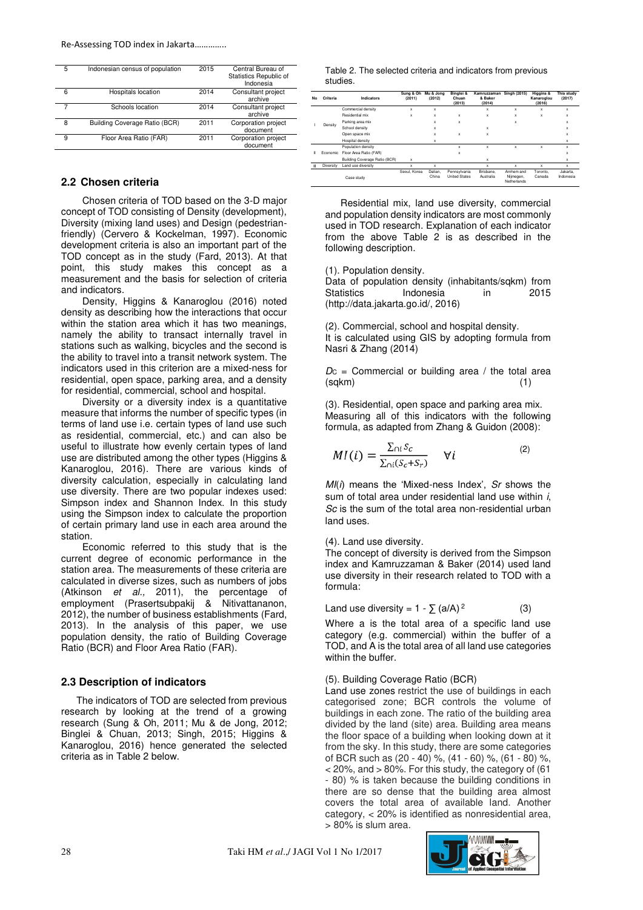| 5 | Indonesian census of population | 2015 | Central Bureau of<br>Statistics Republic of<br>Indonesia |
|---|---------------------------------|------|----------------------------------------------------------|
| 6 | Hospitals location              | 2014 | Consultant project<br>archive                            |
| 7 | Schools location                | 2014 | Consultant project<br>archive                            |
| 8 | Building Coverage Ratio (BCR)   | 2011 | Corporation project<br>document                          |
| 9 | Floor Area Ratio (FAR)          | 2011 | Corporation project<br>document                          |

## **2.2 Chosen criteria**

Chosen criteria of TOD based on the 3-D major concept of TOD consisting of Density (development), Diversity (mixing land uses) and Design (pedestrianfriendly) (Cervero & Kockelman, 1997). Economic development criteria is also an important part of the TOD concept as in the study (Fard, 2013). At that point, this study makes this concept as a measurement and the basis for selection of criteria and indicators.

Density, Higgins & Kanaroglou (2016) noted density as describing how the interactions that occur within the station area which it has two meanings, namely the ability to transact internally travel in stations such as walking, bicycles and the second is the ability to travel into a transit network system. The indicators used in this criterion are a mixed-ness for residential, open space, parking area, and a density for residential, commercial, school and hospital.

Diversity or a diversity index is a quantitative measure that informs the number of specific types (in terms of land use i.e. certain types of land use such as residential, commercial, etc.) and can also be useful to illustrate how evenly certain types of land use are distributed among the other types (Higgins & Kanaroglou, 2016). There are various kinds of diversity calculation, especially in calculating land use diversity. There are two popular indexes used: Simpson index and Shannon Index. In this study using the Simpson index to calculate the proportion of certain primary land use in each area around the station.

Economic referred to this study that is the current degree of economic performance in the station area. The measurements of these criteria are calculated in diverse sizes, such as numbers of jobs (Atkinson *et al.,* 2011), the percentage of employment (Prasertsubpakij & Nitivattananon, 2012), the number of business establishments (Fard, 2013). In the analysis of this paper, we use population density, the ratio of Building Coverage Ratio (BCR) and Floor Area Ratio (FAR).

#### **2.3 Description of indicators**

The indicators of TOD are selected from previous research by looking at the trend of a growing research (Sung & Oh, 2011; Mu & de Jong, 2012; Binglei & Chuan, 2013; Singh, 2015; Higgins & Kanaroglou, 2016) hence generated the selected criteria as in Table 2 below.

Table 2. The selected criteria and indicators from previous studies.

| No | Criteria  | Indicators                    | Sung & Oh<br>(2011) | Mu & Jona<br>(2012) | Binglei &<br>Chuan<br>(2013)         | Kamruzzaman<br>& Baker<br>(2014) | <b>Singh (2015)</b>                    | Higgins &<br>Kanaroglou<br>(2016) | This study<br>(2017)  |
|----|-----------|-------------------------------|---------------------|---------------------|--------------------------------------|----------------------------------|----------------------------------------|-----------------------------------|-----------------------|
|    |           | Commercial density            | x                   | x                   |                                      | x                                | x                                      | x                                 | x                     |
|    | Density   | Residential mix               | x                   | x                   | x                                    | x                                | x                                      | x                                 | x                     |
|    |           | Parking area mix              |                     | x                   | x                                    |                                  | x                                      |                                   | x                     |
|    |           | School density                |                     | x                   |                                      | x                                |                                        |                                   | x                     |
|    |           | Open space mix                |                     | x                   | x                                    | x                                |                                        |                                   | x                     |
|    |           | Hospital density              |                     | x                   |                                      |                                  |                                        |                                   | x                     |
|    |           | Population density            |                     |                     | x                                    | x                                | x                                      | x                                 | x                     |
| Ш  | Economic  | Floor Area Ratio (FAR)        |                     |                     | x                                    |                                  |                                        |                                   | x                     |
|    |           | Building Coverage Ratio (BCR) | x                   |                     |                                      | x                                |                                        |                                   | x                     |
| Ш  | Diversity | Land use diversity            | x                   | x                   |                                      | x                                | x                                      | x                                 | x                     |
|    |           | Case study                    | Seoul, Korea        | Dalian.<br>China    | Pennsylvania<br><b>United States</b> | Brisbane.<br>Australia           | Arnhem and<br>Nijmegen,<br>Netherlands | Toronto.<br>Canada                | Jakarta.<br>Indonesia |

Residential mix, land use diversity, commercial and population density indicators are most commonly used in TOD research. Explanation of each indicator from the above Table 2 is as described in the following description.

(1). Population density.

Data of population density (inhabitants/sqkm) from<br>Statistics lndonesia in 2015 Indonesia in 2015 (http://data.jakarta.go.id/, 2016)

(2). Commercial, school and hospital density. It is calculated using GIS by adopting formula from Nasri & Zhang (2014)

 $D<sub>C</sub>$  = Commercial or building area / the total area  $(sqkm)$  (1)

(3). Residential, open space and parking area mix. Measuring all of this indicators with the following formula, as adapted from Zhang & Guidon (2008):

$$
MI(i) = \frac{\sum_{\cap i} S_c}{\sum_{\cap i} (S_c + S_r)} \quad \forall i
$$
 (2)

*MI*(*i*) means the 'Mixed-ness Index', *Sr* shows the sum of total area under residential land use within *i*, *Sc* is the sum of the total area non-residential urban land uses.

#### (4). Land use diversity.

The concept of diversity is derived from the Simpson index and Kamruzzaman & Baker (2014) used land use diversity in their research related to TOD with a formula:

$$
Land use diversity = 1 - \sum (a/A)^2
$$
 (3)

Where a is the total area of a specific land use category (e.g. commercial) within the buffer of a TOD, and A is the total area of all land use categories within the buffer.

#### (5). Building Coverage Ratio (BCR)

[Land use zones](http://www.realestate-tokyo.com/news/land-use-zones-in-japan/) restrict the use of buildings in each categorised zone; BCR controls the volume of buildings in each zone. The ratio of the building area divided by the land (site) area. Building area means the floor space of a building when looking down at it from the sky. In this study, there are some categories of BCR such as (20 - 40) %, (41 - 60) %, (61 - 80) %, < 20%, and > 80%. For this study, the category of (61 - 80) % is taken because the building conditions in there are so dense that the building area almost covers the total area of available land. Another category, < 20% is identified as nonresidential area, > 80% is slum area.

28 Taki HM *et al*.,/ JAGI Vol 1 No 1/2017

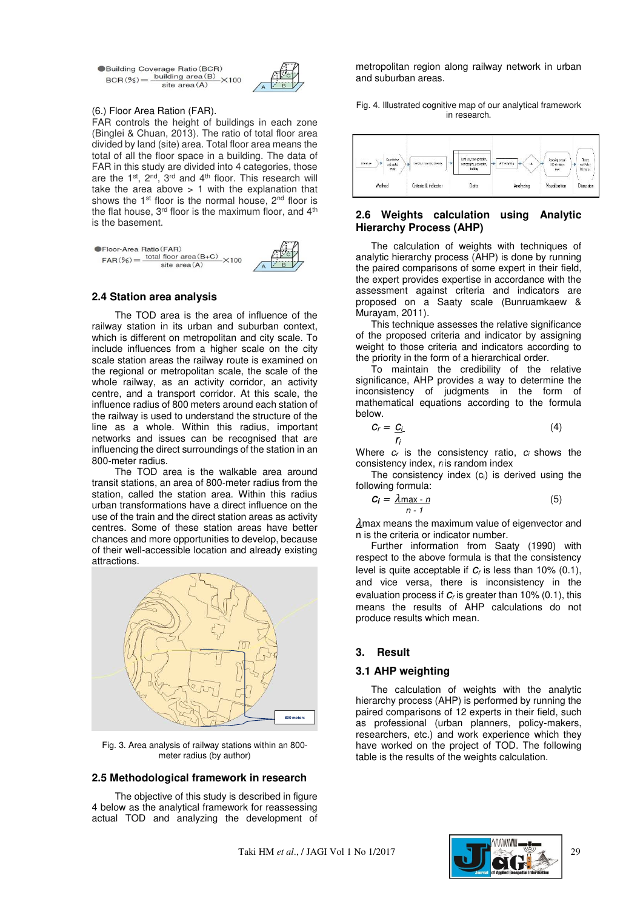●Building Coverage Ratio (BCR)<br>BCR (%) =  $\frac{\text{building area (B)}}{\text{Total area (C)}} \times 100$ site area $(A)$ 



#### (6.) Floor Area Ration (FAR).

FAR controls the height of buildings in each zone (Binglei & Chuan, 2013). The ratio of total floor area divided by land (site) area. Total floor area means the total of all the floor space in a building. The data of FAR in this study are divided into 4 categories, those are the 1<sup>st</sup>, 2<sup>nd</sup>, 3<sup>rd</sup> and 4<sup>th</sup> floor. This research will take the area above  $> 1$  with the explanation that shows the 1<sup>st</sup> floor is the normal house,  $2<sup>nd</sup>$  floor is the flat house, 3<sup>rd</sup> floor is the maximum floor, and 4<sup>th</sup> is the basement.

| <b>Sellipor-Area Ratio (FAR)</b><br>$FAR(\%) =$ | total floor area $(B+C)$ ×100<br>site $area(A)$ |  |
|-------------------------------------------------|-------------------------------------------------|--|
|                                                 |                                                 |  |

## **2.4 Station area analysis**

The TOD area is the area of influence of the railway station in its urban and suburban context, which is different on metropolitan and city scale. To include influences from a higher scale on the city scale station areas the railway route is examined on the regional or metropolitan scale, the scale of the whole railway, as an activity corridor, an activity centre, and a transport corridor. At this scale, the influence radius of 800 meters around each station of the railway is used to understand the structure of the line as a whole. Within this radius, important networks and issues can be recognised that are influencing the direct surroundings of the station in an 800-meter radius.

The TOD area is the walkable area around transit stations, an area of 800-meter radius from the station, called the station area. Within this radius urban transformations have a direct influence on the use of the train and the direct station areas as activity centres. Some of these station areas have better chances and more opportunities to develop, because of their well-accessible location and already existing attractions.



Fig. 3. Area analysis of railway stations within an 800 meter radius (by author)

## **2.5 Methodological framework in research**

The objective of this study is described in figure 4 below as the analytical framework for reassessing actual TOD and analyzing the development of

metropolitan region along railway network in urban and suburban areas.

Fig. 4. Illustrated cognitive map of our analytical framework in research.



### **2.6 Weights calculation using Analytic Hierarchy Process (AHP)**

The calculation of weights with techniques of analytic hierarchy process (AHP) is done by running the paired comparisons of some expert in their field, the expert provides expertise in accordance with the assessment against criteria and indicators are proposed on a Saaty scale (Bunruamkaew & Murayam, 2011).

This technique assesses the relative significance of the proposed criteria and indicator by assigning weight to those criteria and indicators according to the priority in the form of a hierarchical order.

To maintain the credibility of the relative significance, AHP provides a way to determine the inconsistency of judgments in the form of mathematical equations according to the formula below.

$$
C_r = \frac{C_i}{r_i} \tag{4}
$$

Where *cr* is the consistency ratio, *c<sup>i</sup>* shows the consistency index, *r<sup>i</sup>* is random index

The consistency index (ci) is derived using the following formula:

$$
C_i = \frac{\lambda \max - n}{n - 1} \tag{5}
$$

 $\lambda$ max means the maximum value of eigenvector and n is the criteria or indicator number.

Further information from Saaty (1990) with respect to the above formula is that the consistency level is quite acceptable if *cr* is less than 10% (0.1), and vice versa, there is inconsistency in the evaluation process if *cr* is greater than 10% (0.1), this means the results of AHP calculations do not produce results which mean.

# **3. Result**

# **3.1 AHP weighting**

The calculation of weights with the analytic hierarchy process (AHP) is performed by running the paired comparisons of 12 experts in their field, such as professional (urban planners, policy-makers, researchers, etc.) and work experience which they have worked on the project of TOD. The following table is the results of the weights calculation.

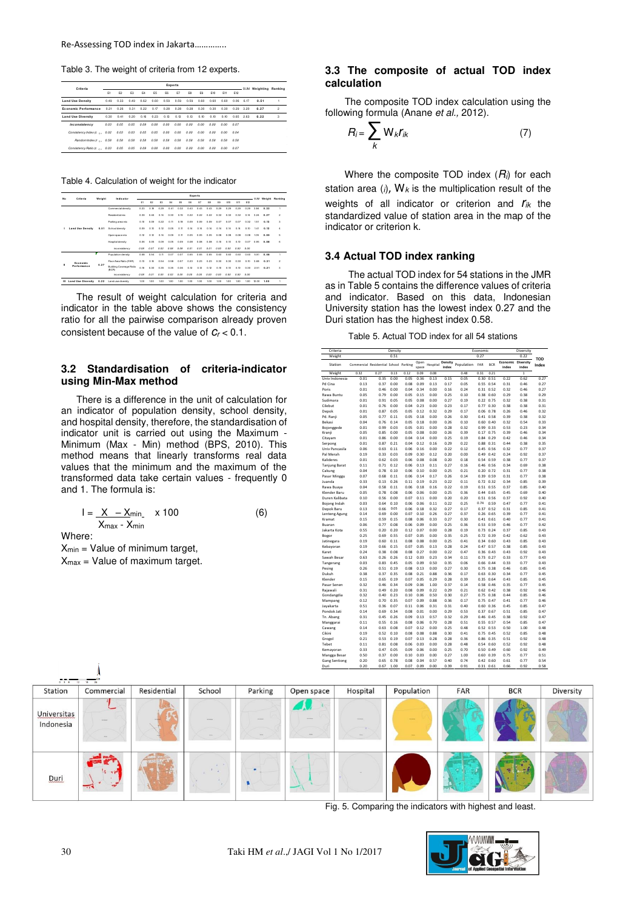Table 3. The weight of criteria from 12 experts.

| Criteria                                                 |      | Experts |      |      |      |      |      |      |      |      |      | -SUM Weighting Ranking |      |      |   |
|----------------------------------------------------------|------|---------|------|------|------|------|------|------|------|------|------|------------------------|------|------|---|
|                                                          | E1   | P2      | F3   | F4   | FR.  | F6   | F7   | FR.  | FA   | E10  | E11  | E12                    |      |      |   |
| <b>Land Use Density</b>                                  | 0.49 | 0.33    | 0.49 | 0.62 | 0.60 | 0.59 | 0.59 | 0.59 | 0.60 | 0.60 | 0.60 | 0.06                   | 6.17 | 0.51 |   |
| <b>Fronomic Performance</b>                              | 0.21 | 0.26    | 0.31 | 0.22 | 0.17 | 0.28 | 0.28 | 0.28 | 0.30 | 0.30 | 0.30 | 0.29                   | 3.20 | 0.27 | 2 |
| <b>Land Use Diversity</b>                                | 0.30 | 0.41    | 0.20 | 0.16 | 0.23 | 0.13 | 0.13 | 0.13 | 0.10 | 0.10 | 0.10 | 0.65                   | 2.63 | 0.22 | ä |
| inconsistency                                            | 0.03 | 0.05    | 0.05 | 0.09 | 0.08 | 0.00 | 0.00 | 0.00 | 0.00 | 0.00 | 0.00 | 0.07                   |      |      |   |
| Consistency Index (c $_0$ 0.02                           |      | 0.03    | 0.03 | 0.05 | 0.05 | 0.00 | 0.00 | 0.00 | 0.00 | 0.00 | 0.00 | 0.04                   |      |      |   |
| Bandom Index Ir n. 0.58                                  |      | 0.58    | 0.58 | 0.58 | 0.58 | 0.58 | 0.58 | 0.58 | 0.58 | 0.58 | 0.58 | 0.58                   |      |      |   |
| Consistency Ratio (c  0.03  0.05  0.05  0.09  0.08  0.00 |      |         |      |      |      |      | 0.00 | 0.00 | 0.00 | 0.00 | 0.00 | 0.07                   |      |      |   |

Table 4. Calculation of weight for the indicator

|    |                           |        |                                  | Experts |      |      |      |      |      |      |           |      |      |      |      |       |      |                      |
|----|---------------------------|--------|----------------------------------|---------|------|------|------|------|------|------|-----------|------|------|------|------|-------|------|----------------------|
| No | Criteria                  | Weight | Indicator                        | P1      | P    | E3   | F4   | B    | F6   | F7   | <b>FR</b> | Po   | E10  | Ett  | F12  |       |      | SUM Weight Ranking   |
|    |                           |        | Commercial density               | 0.23    | 0.18 | 0.29 | 0.41 | 0.32 | 0.43 | 0.43 | 0.43      | 0.29 | 0.29 | 0.29 | 0.29 | 3.84  | 0.32 | ٠                    |
|    |                           |        | Residentialmiv                   | 0.39    | 0.46 | 0.14 | 0.30 | 0.29 | 0.22 | 0.22 | 0.22      | 0.32 | 0.32 | 0.32 | 0.14 | 3.24  | 0.27 | $\overline{2}$       |
|    |                           |        | Parking area mix                 | 0.30    | 0.09 | 0.22 | 0.11 | 0.38 | 0.09 | 0.09 | 0.09      | 0.07 | 0.07 | 0.07 | 0.32 | 151   | 0.13 | ś                    |
| ٠  | <b>Land Use Density</b>   | 0.51   | Schooldensity                    | 0.09    | 0.10 | 0.12 | 0.05 | 0.11 | 0.34 | 0.14 | 0.14      | 0.14 | 0.34 | 0.14 | 0.10 | 1.41  | 0.12 | $\ddot{\phantom{1}}$ |
|    |                           |        | Open space mix                   | 0.12    | 0.12 | 0.14 | 0.09 | 0.11 | 0.05 | 0.06 | 0.05      | 0.08 | 0.08 | 0.08 | 0.08 | 105   | 0.09 | 5                    |
|    |                           |        | Hospital density                 | 0.06    | 0.05 | 0.09 | 0.05 | 0.09 | 0.08 | 0.08 | 0.08      | 0.90 | 0.30 | 0.10 | 0.07 | 0.95  | 0.08 | 6                    |
|    |                           |        | inconsistency                    | 0.08    | 0.07 | 0.03 | 0.08 | 0.09 | 0.01 | 0.01 | 0.01      | 0.00 | 0.00 | 0.00 | 0.00 |       |      |                      |
|    |                           |        | Population density               | 0.68    | 0.54 | 0.11 | 0.07 | 0.07 | 0.65 | 0.65 | 0.65      | 0.60 | 0.60 | 0.60 | 0.60 | 5.81  | 0.48 |                      |
|    | Feanamic                  |        | Floor Area Ratio (FAR)           | 0.13    | 0.18 | 0.54 | 0.58 | 0.57 | 0.23 | 0.23 | 0.23      | 0.30 | 0.30 | 0.30 | 0.10 | 3.68  | 0.31 | $\overline{2}$       |
| п  | Performance               | 0.27   | Building Coverage Ratio<br>(BCR) | 0.99    | 0.30 | 0.35 | 0.35 | 0.36 | 0.12 | 0.12 | 0.12      | 0.90 | 0.30 | 0.30 | 0.30 | 2.51  | 0.21 | ś                    |
|    |                           |        | inconsistency                    | 0.08    | 0.01 | 0.05 | 0.03 | 0.05 | 0.00 | 0.00 | 0.00      | 0.00 | 0.00 | 0.00 | 0.00 |       |      |                      |
| ш  | <b>Land Use Diversity</b> | 0.22   | Land use diversity               | 100     | 1.00 | 1.00 | 1.00 | 1.00 | 1.00 | 100  | 1.00      | 1.00 | 1.00 | 1.00 | 1.00 | 12.00 | 1.00 |                      |

The result of weight calculation for criteria and indicator in the table above shows the consistency ratio for all the pairwise comparison already proven consistent because of the value of *cr* < 0.1.

# **3.2 Standardisation of criteria-indicator using Min-Max method**

There is a difference in the unit of calculation for an indicator of population density, school density, and hospital density, therefore, the standardisation of indicator unit is carried out using the Maximum - Minimum (Max - Min) method (BPS, 2010). This method means that linearly transforms real data values that the minimum and the maximum of the transformed data take certain values - frequently 0 and 1. The formula is:

$$
I = \frac{X - X_{\min}}{X_{\max} - X_{\min}} \times 100
$$
 (6)

Where:

 $X_{min}$  = Value of minimum target,  $X_{max}$  = Value of maximum target.

## **3.3 The composite of actual TOD index calculation**

The composite TOD index calculation using the following formula (Anane *et al.,* 2012).

$$
R_i = \sum_k W_k r_{ik} \tag{7}
$$

Where the composite TOD index (*Ri*) for each station area  $(i)$ ,  $W_k$  is the multiplication result of the weights of all indicator or criterion and *rik* the standardized value of station area in the map of the indicator or criterion k.

#### **3.4 Actual TOD index ranking**

The actual TOD index for 54 stations in the JMR as in Table 5 contains the difference values of criteria and indicator. Based on this data, Indonesian University station has the lowest index 0.27 and the Duri station has the highest index 0.58.

Table 5. Actual TOD index for all 54 stations

| Criteria             | Density<br>Economic<br>Diversity |                                       |      |      |               |          |                  |            |      |               |                             |       |                     |
|----------------------|----------------------------------|---------------------------------------|------|------|---------------|----------|------------------|------------|------|---------------|-----------------------------|-------|---------------------|
| Weight               |                                  |                                       | 0.51 |      |               |          |                  |            | 0.27 |               |                             | 0.22  |                     |
| Station              |                                  | Commercial Residential School Parking |      |      | Onen<br>space | Hospital | Density<br>index | Population | FAR  | <b>BCR</b>    | Economic Diversity<br>index | index | <b>TOD</b><br>Index |
| Weight               | 0.32                             | 0.27                                  | 0.13 | 0.12 | 0.09          | 0.08     |                  | 0.48       | 0.31 | 0.21          |                             | 1     |                     |
| Univ Indonesia       | 0.01                             | 0.35                                  | 0.00 | 0.05 | 0.36          | 0.13     | 0.15             | 0.05       | 0.30 | 0.51          | 0.22                        | 0.62  | 0.27                |
| Pd Cina              | 0.13                             | 0.37                                  | 0.00 | 0.08 | 0.09          | 0.13     | 0.17             | 0.05       | 0.55 | 0.54          | 0.31                        | 0.46  | 0.27                |
| Poris                | 0.01                             | 0.46                                  | 0.00 | 0.04 | 0.34          | 0.00     | 0.16             | 0.24       | 0.31 | 0.52          | 0.32                        | 0.46  | 0.27                |
| Rawa Buntu           | 0.05                             | 0.79                                  | 0.00 | 0.05 | 0.15          | 0.00     | 0.25             | 0.10       | 0.38 | 0.60          | 0.29                        | 0.38  | 0.29                |
| Sudimara             | 0.01                             | 0.91                                  | 0.05 | 0.05 | 0.08          | 0.00     | 0.27             | 0.19       | 0.22 | 0.75          | 0.32                        | 0.38  | 0.31                |
| Cilebut              | 0.01                             | 0.76                                  | 0.00 | 0.04 | 0.23          | 0.00     | 0.23             | 0.17       | 0.77 | 0.30          | 0.38                        | 0.38  | 0.31                |
| Depok                | 0.01                             | 0.87                                  | 0.05 | 0.05 | 0.12          | 0.32     | 0.29             | 0.17       | 0.06 | 0.78          | 0.26                        | 0.46  | 0.32                |
| Pd. Ranii            | 0.05                             | 0.77                                  | 0.11 | 0.05 | 0.18          | 0.00     | 0.26             | 0.30       | 0.41 | 0.58          | 0.39                        | 0.38  | 0.32                |
| Bekasi               | 0.04                             | 0.76                                  | 0.14 | 0.05 | 0.18          | 0.00     | 0.26             | 0.10       | 0.60 | 0.40          | 0.32                        | 0.54  | 0.33                |
| Bojonggede           | 0.01                             | 0.99                                  | 0.03 | 0.05 | 0.01          | 0.00     | 0.28             | 0.32       | 0.99 | 0.33          | 0.53                        | 0.23  | 0.34                |
| Kranii               | 0.05                             | 0.85                                  | 0.00 | 0.05 | 0.08          | 0.00     | 0.26             | 0.39       | 0.17 | 0.75          | 0.39                        | 0.46  | 0.34                |
| Citayam              | 0.01                             | 0.86                                  | 0.00 | 0.04 | 0.14          | 0.00     | 0.25             | 0.19       | 0.84 | 0.29          | 0.42                        | 0.46  | 0.34                |
| Serpong              | 0.01                             | 0.87                                  | 0.21 | 0.04 | 0.12          | 0.16     | 0.29             | 0.22       | 0.88 | 0.31          | 0.44                        | 0.38  | 0.35                |
| Univ Pancasila       | 0.06                             | 0.63                                  | 0.11 | 0.06 | 0.16          | 0.00     | 0.22             | 0.12       | 0.45 | 0.56          | 0.32                        | 0.77  | 0.37                |
| Pal Merah            | 0.19                             | 0.33                                  | 0.03 | 0.09 | 0.30          | 0.12     | 0.20             | 0.00       | 0.49 | 0.42          | 0.24                        | 0.92  | 0.37                |
| Kalideres            | 0.01                             | 0.62                                  | 0.03 | 0.06 | 0.08          | 0.08     | 0.20             | 0.18       | 0.54 | 0.59          | 0.38                        | 0.77  | 0.37                |
| <b>Tanjung Barat</b> | 0.11                             | 0.71                                  | 0.12 | 0.06 | 0.13          | 0.11     | 0.27             | 0.16       | 0.46 | 0.56          | 0.34                        | 0.69  | 0.38                |
| Cakung               | 0.04                             | 0.78                                  | 0.10 | 0.06 | 0.10          | 0.00     | 0.25             | 0.21       | 0.20 | 0.72          | 0.31                        | 0.77  | 0.38                |
| Pasar Minggu         | 0.07                             | 0.68                                  | 0.11 | 0.06 | 0.14          | 0.17     | 0.26             | 0.14       | 0.39 | 0.59          | 0.31                        | 0.77  | 0.38                |
| Juanda               | 0.33                             | 0.13                                  | 0.26 | 0.11 | 0.19          | 0.23     | 0.22             | 0.11       | 0.72 | 0.32          | 0.34                        | 0.85  | 0.39                |
| Rawa Buava           | 0.04                             | 0.58                                  | 0.11 | 0.06 | 0.18          | 0.16     | 0.22             | 0.19       | 0.51 | 0.55          | 0.37                        | 0.85  | 0.40                |
| Klender Baru         | 0.05                             | 0.78                                  | 0.08 | 0.06 | 0.06          | 0.00     | 0.25             | 0.36       | 0.44 | 0.65          | 0.45                        | 0.69  | 0.40                |
| Duren Kalibata       | 0.10                             | 0.56                                  | 0.00 | 0.07 | 0.11          | 0.00     | 0.20             | 0.20       | 0.51 | 0.56          | 0.37                        | 0.92  | 0.40                |
| Bojong Indah         | 0.03                             | 0.64                                  | 0.10 | 0.06 | 0.06          | 0.11     | 0.22             | 0.25       | 0.74 | 0.59          | 0.47                        | 0.77  | 0.41                |
| Depok Baru           | 0.13                             | 0.66                                  | 0.05 | 0.06 | 0.18          | 0.32     | 0.27             | 0.17       | 0.37 | 0.52          | 0.31                        | 0.85  | 0.41                |
| Lenteng Agung        | 0.14                             | 0.69                                  | 0.00 | 0.07 | 0.10          | 0.26     | 0.27             | 0.37       | 0.26 | 0.65          | 0.39                        | 0.77  | 0.41                |
| Kramat               | 0.15                             | 0.59                                  | 0.15 | 0.08 | 0.06          | 0.33     | 0.27             | 0.30       | 0.41 | 0.61          | 0.40                        | 0.77  | 0.41                |
| Buaran               | 0.06                             | 0.77                                  | 0.08 | 0.06 | 0.09          | 0.00     | 0.25             | 0.36       | 0.53 | 0.59          | 0.46                        | 0.77  | 0.42                |
| Jakarta Kota         | 0.55                             | 0.20                                  | 0.20 | 0.12 | 0.07          | 0.00     | 0.28             | 0.19       | 0.73 | 0.24          | 0.37                        | 0.85  | 0.43                |
| Bogor                | 0.25                             | 0.69                                  | 0.55 | 0.07 | 0.05          | 0.00     | 0.35             | 0.25       | 0.72 | 0.39          | 0.42                        | 0.62  | 0.43                |
| Jatinegara           | 0.19                             | 0.60                                  | 0.11 | 0.08 | 0.08          | 0.00     | 0.25             | 0.41       | 0.34 | 0.60          | 0.43                        | 0.85  | 0.43                |
| Kebavoran            | 0.19                             | 0.66                                  | 0.15 | 0.07 | 0.05          | 0.13     | 0.28             | 0.24       | 0.47 | 0.57          | 0.38                        | 0.85  | 0.43                |
| Karet                | 0.24                             | 0.38                                  | 0.08 | 0.08 | 0.27          | 0.00     | 0.22             | 0.47       | 0.36 | 0.43          | 0.43                        | 0.92  | 0.43                |
| Sawah Besar          | 0.63                             | 0.26                                  | 0.26 | 0.12 | 0.03          | 0.23     | 0.34             | 0.11       | 0.73 | 0.27          | 0.33                        | 0.77  | 0.43                |
| Tangerang            | 0.03                             | 0.83                                  | 0.45 | 0.05 | 0.09          | 0.50     | 0.35             | 0.06       | 0.66 | 0.44          | 0.33                        | 0.77  | 0.43                |
| Pesing               | 0.26                             | 0.51                                  | 0.19 | 0.08 | 0.13          | 0.00     | 0.27             | 0.30       | 0.75 | 0.38          | 0.46                        | 0.85  | 0.45                |
| Dukuh                | 0.38                             | 0.37                                  | 0.35 | 0.08 | 0.21          | 0.88     | 0.36             | 0.17       | 0.63 | 0.30          | 0.34                        | 0.77  | 0.45                |
| Klender              | 0.15                             | 0.65                                  | 0.19 | 0.07 | 0.05          | 0.29     | 0.28             | 0.39       | 0.35 | 0.64          | 0.43                        | 0.85  | 0.45                |
| Pasar Senen          | 0.32                             | 0.46                                  | 0.34 | 0.09 | 0.06          | 1.00     | 0.37             | 0.14       | 0.58 | 0.46          | 0.35                        | 0.77  | 0.45                |
| Rajawali             | 0.31                             | 0.49                                  | 0.20 | 0.08 | 0.09          | 0.22     | 0.29             | 0.21       | 0.62 | 0.42          | 0.38                        | 0.92  | 0.46                |
|                      | 0.32                             | 0.40                                  | 0.23 | 0.10 | 0.06          | 0.50     | 0.30             | 0.27       | 0.75 | 0.38          | 0.44                        | 0.85  | 0.46                |
| Gondangdia           |                                  | 0.70                                  | 0.35 | 0.07 | 0.09          | 0.88     | 0.36             | 0.17       | 0.75 |               | 0.41                        | 0.77  | 0.46                |
| Mampang              | 0.12<br>0.51                     | 0.36                                  | 0.07 | 0.11 | 0.06          | 0.31     | 0.31             | 0.40       | 0.60 | 0.47<br>0.36  | 0.45                        | 0.85  | 0.47                |
| Jayakarta            | 0.14                             | 0.69                                  | 0.34 | 0.08 | 0.01          | 0.00     | 0.29             | 0.53       | 0.37 | 0.67          | 0.51                        | 0.85  | 0.47                |
| Pondok Jati          |                                  |                                       |      |      |               |          |                  | 0.29       |      |               |                             |       |                     |
| Tn. Abang            | 0.31                             | 0.45                                  | 0.26 | 0.09 | 0.13          | 0.57     | 0.32             |            | 0.46 | 0.45          | 0.38                        | 0.92  | 0.47                |
| Manggarai            | 0.11                             | 0.55                                  | 0.16 | 0.08 | 0.06          | 0.70     | 0.28             | 0.51       | 0.55 | 0.57          | 0.54                        | 0.85  | 0.47                |
| Cawang               | 0.14                             | 0.63                                  | 0.08 | 0.07 | 0.12          | 0.00     | 0.25             | 0.48       | 0.52 | 0.53          | 0.50                        | 1.00  | 0.48                |
| Cikini               | 0.19                             | 0.52                                  | 0.10 | 0.08 | 0.08          | 0.88     | 0.30             | 0.41       | 0.75 | 0.45          | 0.52                        | 0.85  | 0.48                |
| Grogol               | 0.21                             | 0.53                                  | 0.19 | 0.07 | 0.13          | 0.28     | 0.28             | 0.36       | 0.86 | 0.35          | 0.51                        | 0.92  | 0.48                |
| Tebet                | 0.11                             | 0.81                                  | 0.08 | 0.06 | 0.03          | 0.00     | 0.28             | 0.48       | 0.54 | 0.60          | 0.52                        | 0.92  | 0.48                |
| Kemayoran            | 0.33                             | 0.47                                  | 0.05 | 0.09 | 0.06          | 0.00     | 0.25             | 0.70       | 0.50 | 0.49          | 0.60                        | 0.92  | 0.49                |
| Mangga Besar         | 0.50                             | 0.37                                  | 0.00 | 0.10 | 0.03          | 0.00     | 0.27             | 1.00       | 0.60 | 0.39          | 0.75                        | 0.77  | 0.51                |
| <b>Gang Sentiong</b> | 0.20                             | 0.65                                  | 0.78 | 0.08 | 0.04          | 0.57     | 0.40             | 0.74       |      | $0.42$ $0.60$ | 0.61                        | 0.77  | 0.54                |
| Duri                 | 0.20                             | 0.67                                  | 1.00 | 0.07 | 0.09          | 0.00     | 0.39             | 0.91       | 0.31 | 0.61          | 0.66                        | 0.92  | 0.58                |



Fig. 5. Comparing the indicators with highest and least.

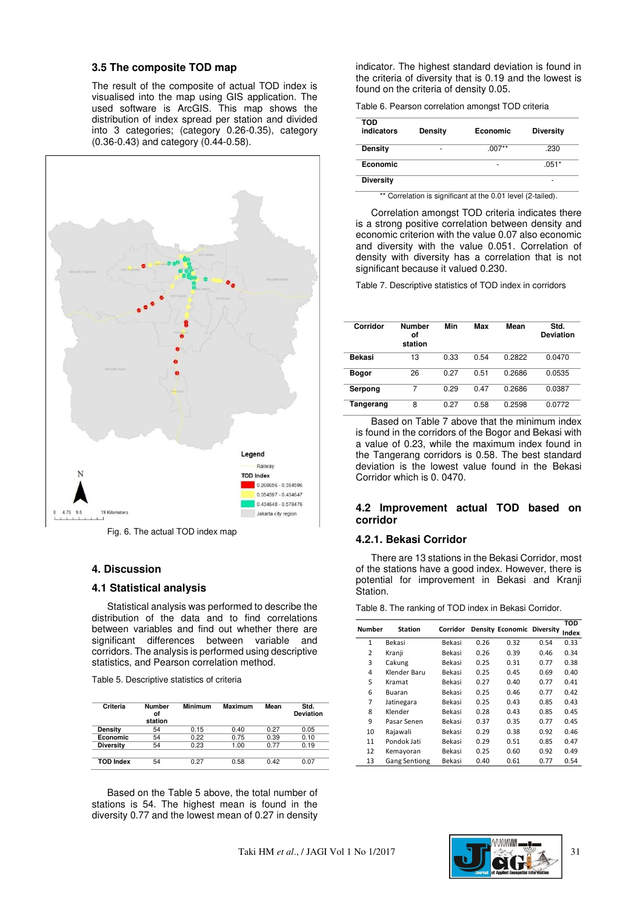## **3.5 The composite TOD map**

The result of the composite of actual TOD index is visualised into the map using GIS application. The used software is ArcGIS. This map shows the distribution of index spread per station and divided into 3 categories; (category 0.26-0.35), category (0.36-0.43) and category (0.44-0.58).



Fig. 6. The actual TOD index map

#### **4. Discussion**

## **4.1 Statistical analysis**

Statistical analysis was performed to describe the distribution of the data and to find correlations between variables and find out whether there are significant differences between variable and corridors. The analysis is performed using descriptive statistics, and Pearson correlation method.

Table 5. Descriptive statistics of criteria

| Criteria         | <b>Number</b><br>οf<br>station | <b>Minimum</b> | Maximum | Mean | Std.<br><b>Deviation</b> |
|------------------|--------------------------------|----------------|---------|------|--------------------------|
| Density          | 54                             | 0.15           | 0.40    | 0.27 | 0.05                     |
| Economic         | 54                             | 0.22           | 0.75    | 0.39 | 0.10                     |
| <b>Diversity</b> | 54                             | 0.23           | 1.00    | 0.77 | 0.19                     |
|                  |                                |                |         |      |                          |
| <b>TOD Index</b> | 54                             | 0.27           | 0.58    | 0.42 | 0.07                     |

Based on the Table 5 above, the total number of stations is 54. The highest mean is found in the diversity 0.77 and the lowest mean of 0.27 in density

indicator. The highest standard deviation is found in the criteria of diversity that is 0.19 and the lowest is found on the criteria of density 0.05.

Table 6. Pearson correlation amongst TOD criteria

| TOD<br>indicators | <b>Density</b> | Economic | <b>Diversity</b> |
|-------------------|----------------|----------|------------------|
| <b>Density</b>    | ۰              | $.007**$ | .230             |
| Economic          |                | ۰        | $.051*$          |
| <b>Diversity</b>  |                |          | ۰                |

\*\* Correlation is significant at the 0.01 level (2-tailed).

Correlation amongst TOD criteria indicates there is a strong positive correlation between density and economic criterion with the value 0.07 also economic and diversity with the value 0.051. Correlation of density with diversity has a correlation that is not significant because it valued 0.230.

Table 7. Descriptive statistics of TOD index in corridors

| Corridor  | <b>Number</b><br>οf<br>station | Min  | Max  | Mean   | Std.<br><b>Deviation</b> |
|-----------|--------------------------------|------|------|--------|--------------------------|
| Bekasi    | 13                             | 0.33 | 0.54 | 0.2822 | 0.0470                   |
| Bogor     | 26                             | በ 27 | 0.51 | 0.2686 | 0.0535                   |
| Serpong   | 7                              | 0.29 | 0.47 | 0.2686 | 0.0387                   |
| Tangerang | 8                              | 0.27 | 0.58 | 0.2598 | 0.0772                   |

Based on Table 7 above that the minimum index is found in the corridors of the Bogor and Bekasi with a value of 0.23, while the maximum index found in the Tangerang corridors is 0.58. The best standard deviation is the lowest value found in the Bekasi Corridor which is 0. 0470.

# **4.2 Improvement actual TOD based on corridor**

#### **4.2.1. Bekasi Corridor**

There are 13 stations in the Bekasi Corridor, most of the stations have a good index. However, there is potential for improvement in Bekasi and Kranji Station.

Table 8. The ranking of TOD index in Bekasi Corridor.

|                |                      |          |      |                            |      | <b>TOD</b> |
|----------------|----------------------|----------|------|----------------------------|------|------------|
| Number         | <b>Station</b>       | Corridor |      | Density Economic Diversity |      | Index      |
| $\mathbf{1}$   | Bekasi               | Bekasi   | 0.26 | 0.32                       | 0.54 | 0.33       |
| $\overline{2}$ | Kranji               | Bekasi   | 0.26 | 0.39                       | 0.46 | 0.34       |
| 3              | Cakung               | Bekasi   | 0.25 | 0.31                       | 0.77 | 0.38       |
| 4              | Klender Baru         | Bekasi   | 0.25 | 0.45                       | 0.69 | 0.40       |
| 5              | Kramat               | Bekasi   | 0.27 | 0.40                       | 0.77 | 0.41       |
| 6              | Buaran               | Bekasi   | 0.25 | 0.46                       | 0.77 | 0.42       |
| 7              | Jatinegara           | Bekasi   | 0.25 | 0.43                       | 0.85 | 0.43       |
| 8              | Klender              | Bekasi   | 0.28 | 0.43                       | 0.85 | 0.45       |
| 9              | Pasar Senen          | Bekasi   | 0.37 | 0.35                       | 0.77 | 0.45       |
| 10             | Rajawali             | Bekasi   | 0.29 | 0.38                       | 0.92 | 0.46       |
| 11             | Pondok Jati          | Bekasi   | 0.29 | 0.51                       | 0.85 | 0.47       |
| 12             | Kemayoran            | Bekasi   | 0.25 | 0.60                       | 0.92 | 0.49       |
| 13             | <b>Gang Sentiong</b> | Bekasi   | 0.40 | 0.61                       | 0.77 | 0.54       |

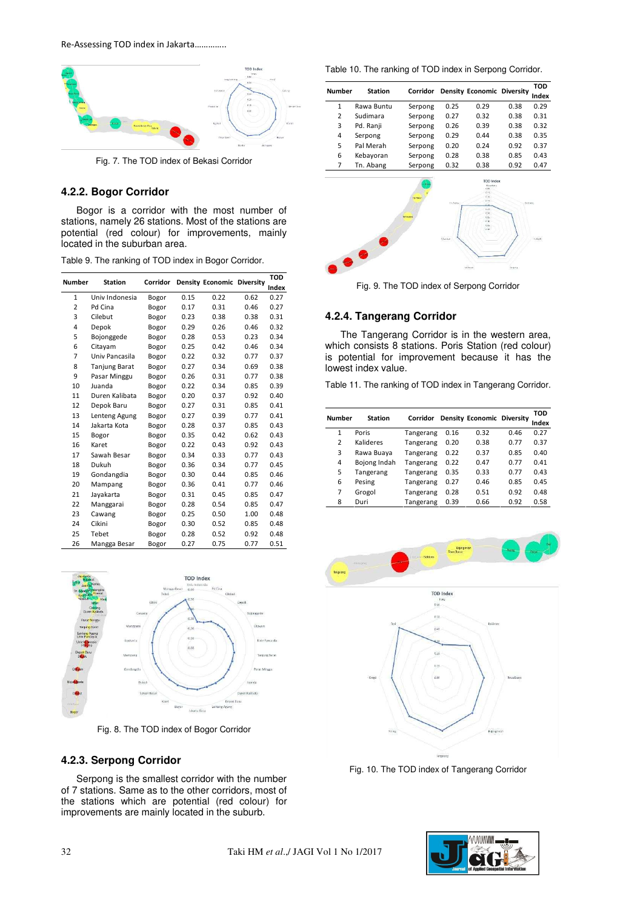

Fig. 7. The TOD index of Bekasi Corridor

#### **4.2.2. Bogor Corridor**

Bogor is a corridor with the most number of stations, namely 26 stations. Most of the stations are potential (red colour) for improvements, mainly located in the suburban area.

|  |  |  | Table 9. The ranking of TOD index in Bogor Corridor. |
|--|--|--|------------------------------------------------------|
|  |  |  |                                                      |

| <b>Number</b>  | <b>Station</b> | Corridor |      | <b>Density Economic Diversity</b> |      | TOD   |
|----------------|----------------|----------|------|-----------------------------------|------|-------|
|                |                |          |      |                                   |      | Index |
| $\mathbf{1}$   | Univ Indonesia | Bogor    | 0.15 | 0.22                              | 0.62 | 0.27  |
| $\overline{2}$ | Pd Cina        | Bogor    | 0.17 | 0.31                              | 0.46 | 0.27  |
| 3              | Cilebut        | Bogor    | 0.23 | 0.38                              | 0.38 | 0.31  |
| 4              | Depok          | Bogor    | 0.29 | 0.26                              | 0.46 | 0.32  |
| 5              | Bojonggede     | Bogor    | 0.28 | 0.53                              | 0.23 | 0.34  |
| 6              | Citayam        | Bogor    | 0.25 | 0.42                              | 0.46 | 0.34  |
| 7              | Univ Pancasila | Bogor    | 0.22 | 0.32                              | 0.77 | 0.37  |
| 8              | Tanjung Barat  | Bogor    | 0.27 | 0.34                              | 0.69 | 0.38  |
| 9              | Pasar Minggu   | Bogor    | 0.26 | 0.31                              | 0.77 | 0.38  |
| 10             | Juanda         | Bogor    | 0.22 | 0.34                              | 0.85 | 0.39  |
| 11             | Duren Kalibata | Bogor    | 0.20 | 0.37                              | 0.92 | 0.40  |
| 12             | Depok Baru     | Bogor    | 0.27 | 0.31                              | 0.85 | 0.41  |
| 13             | Lenteng Agung  | Bogor    | 0.27 | 0.39                              | 0.77 | 0.41  |
| 14             | Jakarta Kota   | Bogor    | 0.28 | 0.37                              | 0.85 | 0.43  |
| 15             | Bogor          | Bogor    | 0.35 | 0.42                              | 0.62 | 0.43  |
| 16             | Karet          | Bogor    | 0.22 | 0.43                              | 0.92 | 0.43  |
| 17             | Sawah Besar    | Bogor    | 0.34 | 0.33                              | 0.77 | 0.43  |
| 18             | Dukuh          | Bogor    | 0.36 | 0.34                              | 0.77 | 0.45  |
| 19             | Gondangdia     | Bogor    | 0.30 | 0.44                              | 0.85 | 0.46  |
| 20             | Mampang        | Bogor    | 0.36 | 0.41                              | 0.77 | 0.46  |
| 21             | Jayakarta      | Bogor    | 0.31 | 0.45                              | 0.85 | 0.47  |
| 22             | Manggarai      | Bogor    | 0.28 | 0.54                              | 0.85 | 0.47  |
| 23             | Cawang         | Bogor    | 0.25 | 0.50                              | 1.00 | 0.48  |
| 24             | Cikini         | Bogor    | 0.30 | 0.52                              | 0.85 | 0.48  |
| 25             | Tebet          | Bogor    | 0.28 | 0.52                              | 0.92 | 0.48  |
| 26             | Mangga Besar   | Bogor    | 0.27 | 0.75                              | 0.77 | 0.51  |



Fig. 8. The TOD index of Bogor Corridor

# **4.2.3. Serpong Corridor**

Serpong is the smallest corridor with the number of 7 stations. Same as to the other corridors, most of the stations which are potential (red colour) for improvements are mainly located in the suburb.

Table 10. The ranking of TOD index in Serpong Corridor.

| <b>Number</b>   | <b>Station</b> | Corridor                |                       | Density Economic Diversity                                                                       |          | <b>TOD</b><br>Index |
|-----------------|----------------|-------------------------|-----------------------|--------------------------------------------------------------------------------------------------|----------|---------------------|
| 1               | Rawa Buntu     | Serpong                 | 0.25                  | 0.29                                                                                             | 0.38     | 0.29                |
| $\overline{2}$  | Sudimara       | Serpong                 | 0.27                  | 0.32                                                                                             | 0.38     | 0.31                |
| 3               | Pd. Ranji      | Serpong                 | 0.26                  | 0.39                                                                                             | 0.38     | 0.32                |
| 4               | Serpong        | Serpong                 | 0.29                  | 0.44                                                                                             | 0.38     | 0.35                |
| 5               | Pal Merah      | Serpong                 | 0.20                  | 0.24                                                                                             | 0.92     | 0.37                |
| 6               | Kebayoran      | Serpong                 | 0.28                  | 0.38                                                                                             | 0.85     | 0.43                |
| 7               | Tn. Abang      | Serpong                 | 0.32                  | 0.38                                                                                             | 0.92     | 0.47                |
|                 |                | The fibe et<br>Genevase | Ancienta<br>Killenman | <b>TOD Index</b><br>Sapetung<br><b>CHI</b><br>675<br>0.18<br>xise<br>621<br>686<br>47.59<br>6.00 | Valimers | S. Basi             |
| <b>Contract</b> |                |                         |                       | <b>Tal Varyet</b>                                                                                | Segura   |                     |

Fig. 9. The TOD index of Serpong Corridor

# **4.2.4. Tangerang Corridor**

The Tangerang Corridor is in the western area, which consists 8 stations. Poris Station (red colour) is potential for improvement because it has the lowest index value.

Table 11. The ranking of TOD index in Tangerang Corridor.

| Number       | <b>Station</b> | Corridor  |      | <b>Density Economic Diversity</b> |      | TOD   |
|--------------|----------------|-----------|------|-----------------------------------|------|-------|
|              |                |           |      |                                   |      | Index |
| $\mathbf{1}$ | Poris          | Tangerang | 0.16 | 0.32                              | 0.46 | 0.27  |
| 2            | Kalideres      | Tangerang | 0.20 | 0.38                              | 0.77 | 0.37  |
| 3            | Rawa Buaya     | Tangerang | 0.22 | 0.37                              | 0.85 | 0.40  |
| 4            | Bojong Indah   | Tangerang | 0.22 | 0.47                              | 0.77 | 0.41  |
| 5            | Tangerang      | Tangerang | 0.35 | 0.33                              | 0.77 | 0.43  |
| 6            | Pesing         | Tangerang | 0.27 | 0.46                              | 0.85 | 0.45  |
| 7            | Grogol         | Tangerang | 0.28 | 0.51                              | 0.92 | 0.48  |
| 8            | Duri           | Tangerang | 0.39 | 0.66                              | 0.92 | 0.58  |





Fig. 10. The TOD index of Tangerang Corridor

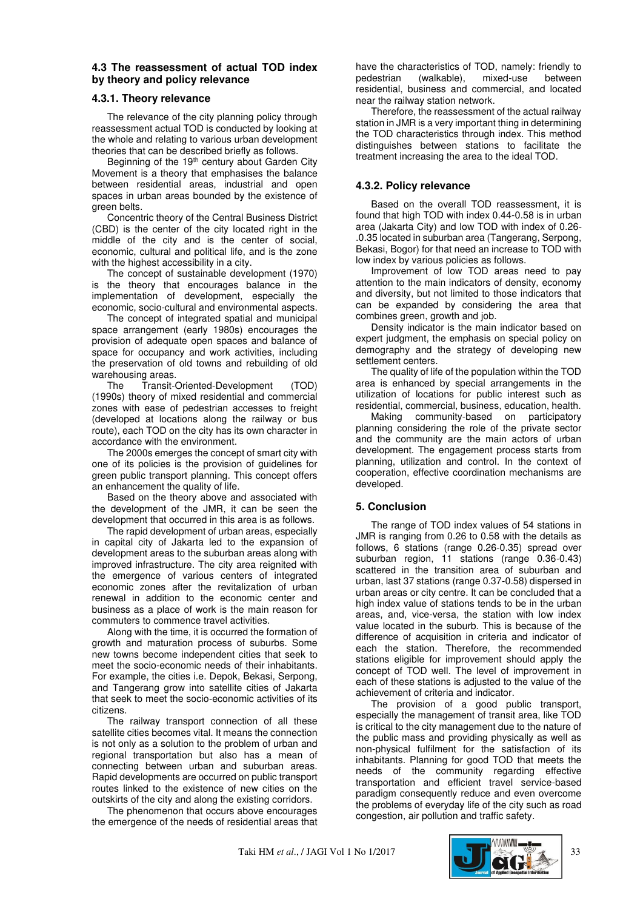# **4.3 The reassessment of actual TOD index by theory and policy relevance**

# **4.3.1. Theory relevance**

The relevance of the city planning policy through reassessment actual TOD is conducted by looking at the whole and relating to various urban development theories that can be described briefly as follows.

Beginning of the 19th century about Garden City Movement is a theory that emphasises the balance between residential areas, industrial and open spaces in urban areas bounded by the existence of green belts.

Concentric theory of the Central Business District (CBD) is the center of the city located right in the middle of the city and is the center of social, economic, cultural and political life, and is the zone with the highest accessibility in a city.

The concept of sustainable development (1970) is the theory that encourages balance in the implementation of development, especially the economic, socio-cultural and environmental aspects.

The concept of integrated spatial and municipal space arrangement (early 1980s) encourages the provision of adequate open spaces and balance of space for occupancy and work activities, including the preservation of old towns and rebuilding of old warehousing areas.<br>Fhe Transit-

Transit-Oriented-Development (TOD) (1990s) theory of mixed residential and commercial zones with ease of pedestrian accesses to freight (developed at locations along the railway or bus route), each TOD on the city has its own character in accordance with the environment.

The 2000s emerges the concept of smart city with one of its policies is the provision of guidelines for green public transport planning. This concept offers an enhancement the quality of life.

Based on the theory above and associated with the development of the JMR, it can be seen the development that occurred in this area is as follows.

The rapid development of urban areas, especially in capital city of Jakarta led to the expansion of development areas to the suburban areas along with improved infrastructure. The city area reignited with the emergence of various centers of integrated economic zones after the revitalization of urban renewal in addition to the economic center and business as a place of work is the main reason for commuters to commence travel activities.

Along with the time, it is occurred the formation of growth and maturation process of suburbs. Some new towns become independent cities that seek to meet the socio-economic needs of their inhabitants. For example, the cities i.e. Depok, Bekasi, Serpong, and Tangerang grow into satellite cities of Jakarta that seek to meet the socio-economic activities of its citizens.

The railway transport connection of all these satellite cities becomes vital. It means the connection is not only as a solution to the problem of urban and regional transportation but also has a mean of connecting between urban and suburban areas. Rapid developments are occurred on public transport routes linked to the existence of new cities on the outskirts of the city and along the existing corridors.

The phenomenon that occurs above encourages the emergence of the needs of residential areas that have the characteristics of TOD, namely: friendly to pedestrian (walkable), mixed-use between residential, business and commercial, and located near the railway station network.

Therefore, the reassessment of the actual railway station in JMR is a very important thing in determining the TOD characteristics through index. This method distinguishes between stations to facilitate the treatment increasing the area to the ideal TOD.

# **4.3.2. Policy relevance**

Based on the overall TOD reassessment, it is found that high TOD with index 0.44-0.58 is in urban area (Jakarta City) and low TOD with index of 0.26- .0.35 located in suburban area (Tangerang, Serpong, Bekasi, Bogor) for that need an increase to TOD with low index by various policies as follows.

Improvement of low TOD areas need to pay attention to the main indicators of density, economy and diversity, but not limited to those indicators that can be expanded by considering the area that combines green, growth and job.

Density indicator is the main indicator based on expert judgment, the emphasis on special policy on demography and the strategy of developing new settlement centers.

The quality of life of the population within the TOD area is enhanced by special arrangements in the utilization of locations for public interest such as residential, commercial, business, education, health.

Making community-based on participatory planning considering the role of the private sector and the community are the main actors of urban development. The engagement process starts from planning, utilization and control. In the context of cooperation, effective coordination mechanisms are developed.

# **5. Conclusion**

The range of TOD index values of 54 stations in JMR is ranging from 0.26 to 0.58 with the details as follows, 6 stations (range 0.26-0.35) spread over suburban region, 11 stations (range 0.36-0.43) scattered in the transition area of suburban and urban, last 37 stations (range 0.37-0.58) dispersed in urban areas or city centre. It can be concluded that a high index value of stations tends to be in the urban areas, and, vice-versa, the station with low index value located in the suburb. This is because of the difference of acquisition in criteria and indicator of each the station. Therefore, the recommended stations eligible for improvement should apply the concept of TOD well. The level of improvement in each of these stations is adjusted to the value of the achievement of criteria and indicator.

The provision of a good public transport, especially the management of transit area, like TOD is critical to the city management due to the nature of the public mass and providing physically as well as non-physical fulfilment for the satisfaction of its inhabitants. Planning for good TOD that meets the needs of the community regarding effective transportation and efficient travel service-based paradigm consequently reduce and even overcome the problems of everyday life of the city such as road congestion, air pollution and traffic safety.

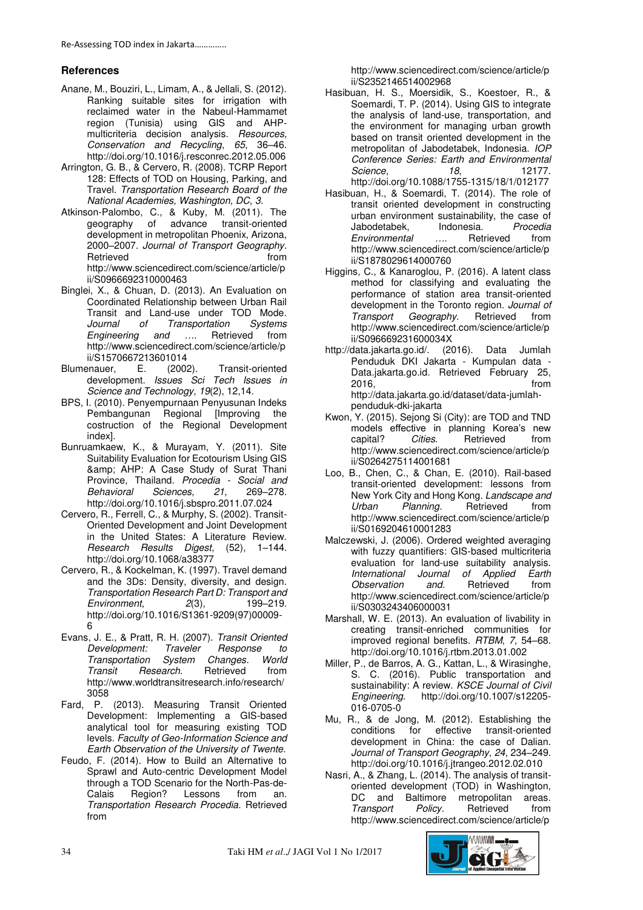# **References**

- Anane, M., Bouziri, L., Limam, A., & Jellali, S. (2012). Ranking suitable sites for irrigation with reclaimed water in the Nabeul-Hammamet region (Tunisia) using GIS and AHPmulticriteria decision analysis. *Resources, Conservation and Recycling*, *65*, 36–46. http://doi.org/10.1016/j.resconrec.2012.05.006
- Arrington, G. B., & Cervero, R. (2008). TCRP Report 128: Effects of TOD on Housing, Parking, and Travel. *Transportation Research Board of the National Academies, Washington, DC*, *3*.
- Atkinson-Palombo, C., & Kuby, M. (2011). The geography of advance transit-oriented development in metropolitan Phoenix, Arizona, 2000–2007. *Journal of Transport Geography*. Retrieved **from** http://www.sciencedirect.com/science/article/p ii/S0966692310000463
- Binglei, X., & Chuan, D. (2013). An Evaluation on Coordinated Relationship between Urban Rail Transit and Land-use under TOD Mode.<br>
Journal of Transportation Systems *Fansportation Systems*<br>*and ...*. Retrieved from *Engineering and ….* http://www.sciencedirect.com/science/article/p
- ii/S1570667213601014<br>enauer, E. (2002). Blumenauer, E. (2002). Transit-oriented development. *Issues Sci Tech Issues in Science and Technology*, *19*(2), 12,14.
- BPS, I. (2010). Penyempurnaan Penyusunan Indeks Pembangunan Regional [Improving the costruction of the Regional Development index].
- Bunruamkaew, K., & Murayam, Y. (2011). Site Suitability Evaluation for Ecotourism Using GIS & amp; AHP: A Case Study of Surat Thani Province, Thailand. *Procedia - Social and*   $Behavioral$ http://doi.org/10.1016/j.sbspro.2011.07.024
- Cervero, R., Ferrell, C., & Murphy, S. (2002). Transit-Oriented Development and Joint Development in the United States: A Literature Review. *Research Results Digest*, (52), 1–144. http://doi.org/10.1068/a38377
- Cervero, R., & Kockelman, K. (1997). Travel demand and the 3Ds: Density, diversity, and design. *Transportation Research Part D: Transport and*   $Environment$ http://doi.org/10.1016/S1361-9209(97)00009- 6
- Evans, J. E., & Pratt, R. H. (2007). *Transit Oriented Development: Traveler Response to Transportation System Changes*. *World Research.* http://www.worldtransitresearch.info/research/ 3058
- Fard, P. (2013). Measuring Transit Oriented Development: Implementing a GIS-based analytical tool for measuring existing TOD levels. *Faculty of Geo-Information Science and Earth Observation of the University of Twente*.
- Feudo, F. (2014). How to Build an Alternative to Sprawl and Auto-centric Development Model through a TOD Scenario for the North-Pas-de-Calais Region? Lessons from an. *Transportation Research Procedia*. Retrieved from

http://www.sciencedirect.com/science/article/p ii/S2352146514002968

- Hasibuan, H. S., Moersidik, S., Koestoer, R., & Soemardi, T. P. (2014). Using GIS to integrate the analysis of land-use, transportation, and the environment for managing urban growth based on transit oriented development in the metropolitan of Jabodetabek, Indonesia. *IOP Conference Series: Earth and Environmental*   $Science$ http://doi.org/10.1088/1755-1315/18/1/012177
- Hasibuan, H., & Soemardi, T. (2014). The role of transit oriented development in constructing urban environment sustainability, the case of Jabodetabek, Indonesia. *Procedia Environmental …*. Retrieved from http://www.sciencedirect.com/science/article/p ii/S1878029614000760
- Higgins, C., & Kanaroglou, P. (2016). A latent class method for classifying and evaluating the performance of station area transit-oriented development in the Toronto region. *Journal of*  Geography. Retrieved from http://www.sciencedirect.com/science/article/p ii/S096669231600034X
- http://data.jakarta.go.id/. (2016). Data Jumlah Penduduk DKI Jakarta - Kumpulan data - Data.jakarta.go.id. Retrieved February 25, 2016, from http://data.jakarta.go.id/dataset/data-jumlahpenduduk-dki-jakarta
- Kwon, Y. (2015). Sejong Si (City): are TOD and TND models effective in planning Korea's new capital? *Cities*. Retrieved from http://www.sciencedirect.com/science/article/p ii/S0264275114001681
- Loo, B., Chen, C., & Chan, E. (2010). Rail-based transit-oriented development: lessons from New York City and Hong Kong. *Landscape and*  Urban Planning. http://www.sciencedirect.com/science/article/p ii/S0169204610001283
- Malczewski, J. (2006). Ordered weighted averaging with fuzzy quantifiers: GIS-based multicriteria evaluation for land-use suitability analysis.<br>International Journal of Applied Earth *International Journal of Applied*<br>Observation and. Retrieved *Observation and*. Retrieved from http://www.sciencedirect.com/science/article/p ii/S0303243406000031
- Marshall, W. E. (2013). An evaluation of livability in creating transit-enriched communities for improved regional benefits. *RTBM*, *7*, 54–68. http://doi.org/10.1016/j.rtbm.2013.01.002
- Miller, P., de Barros, A. G., Kattan, L., & Wirasinghe, S. C. (2016). Public transportation and sustainability: A review. *KSCE Journal of Civil Engineering*. http://doi.org/10.1007/s12205- 016-0705-0
- Mu, R., & de Jong, M. (2012). Establishing the conditions for effective transit-oriented development in China: the case of Dalian. *Journal of Transport Geography*, *24*, 234–249. http://doi.org/10.1016/j.jtrangeo.2012.02.010
- Nasri, A., & Zhang, L. (2014). The analysis of transitoriented development (TOD) in Washington,<br>DC and Baltimore metropolitan areas. metropolitan areas.<br>Retrieved from **Transport** Policy. http://www.sciencedirect.com/science/article/p